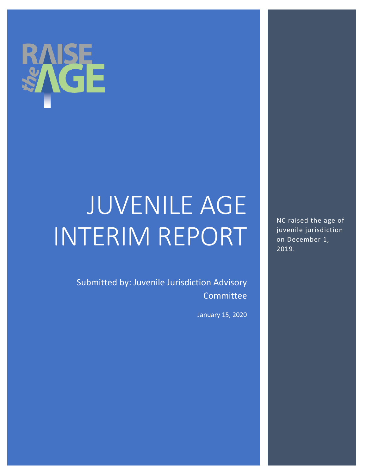

# JUVENILE AGE INTERIM REPORT

Submitted by: Juvenile Jurisdiction Advisory Committee

January 15, 2020

NC raised the age of juvenile jurisdiction on December 1, 2019.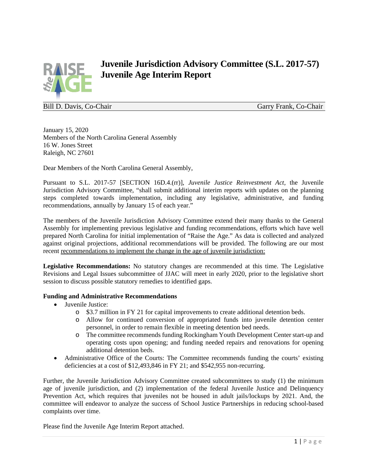

## **Juvenile Jurisdiction Advisory Committee (S.L. 2017-57) Juvenile Age Interim Report**

Bill D. Davis, Co-Chair Garry Frank, Co-Chair Garry Frank, Co-Chair

January 15, 2020 Members of the North Carolina General Assembly 16 W. Jones Street Raleigh, NC 27601

Dear Members of the North Carolina General Assembly,

Pursuant to S.L. 2017-57 [SECTION 16D.4.(rr)], *Juvenile Justice Reinvestment Act,* the Juvenile Jurisdiction Advisory Committee*,* "shall submit additional interim reports with updates on the planning steps completed towards implementation, including any legislative, administrative, and funding recommendations, annually by January 15 of each year."

The members of the Juvenile Jurisdiction Advisory Committee extend their many thanks to the General Assembly for implementing previous legislative and funding recommendations, efforts which have well prepared North Carolina for initial implementation of "Raise the Age." As data is collected and analyzed against original projections, additional recommendations will be provided. The following are our most recent recommendations to implement the change in the age of juvenile jurisdiction:

**Legislative Recommendations:** No statutory changes are recommended at this time. The Legislative Revisions and Legal Issues subcommittee of JJAC will meet in early 2020, prior to the legislative short session to discuss possible statutory remedies to identified gaps.

#### **Funding and Administrative Recommendations**

- Juvenile Justice:
	- o \$3.7 million in FY 21 for capital improvements to create additional detention beds.
	- o Allow for continued conversion of appropriated funds into juvenile detention center personnel, in order to remain flexible in meeting detention bed needs.
	- o The committee recommends funding Rockingham Youth Development Center start-up and operating costs upon opening; and funding needed repairs and renovations for opening additional detention beds.
- Administrative Office of the Courts: The Committee recommends funding the courts' existing deficiencies at a cost of \$12,493,846 in FY 21; and \$542,955 non-recurring.

Further, the Juvenile Jurisdiction Advisory Committee created subcommittees to study (1) the minimum age of juvenile jurisdiction, and (2) implementation of the federal Juvenile Justice and Delinquency Prevention Act, which requires that juveniles not be housed in adult jails/lockups by 2021. And, the committee will endeavor to analyze the success of School Justice Partnerships in reducing school-based complaints over time.

Please find the Juvenile Age Interim Report attached.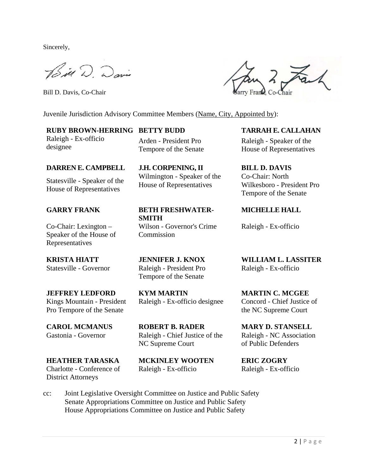Sincerely,

Bill D. Davis

Bill D. Davis, Co-Chair

Juvenile Jurisdiction Advisory Committee Members (Name, City, Appointed by):

#### **RUBY BROWN-HERRING BETTY BUDD TARRAH E. CALLAHAN**

Raleigh - Ex-officio designee

Arden - President Pro Tempore of the Senate

**DARREN E. CAMPBELL J.H. CORPENING, II BILL D. DAVIS**

Statesville - Speaker of the House of Representatives

Co-Chair: Lexington – Speaker of the House of Representatives

Kings Mountain - President Pro Tempore of the Senate

**HEATHER TARASKA MCKINLEY WOOTEN ERIC ZOGRY** Charlotte - Conference of District Attorneys

**GARRY FRANK BETH FRESHWATER-SMITH**

Wilmington - Speaker of the House of Representatives

Wilson - Governor's Crime **Commission** 

Statesville - Governor Raleigh - President Pro Tempore of the Senate

**JEFFREY LEDFORD KYM MARTIN MARTIN C. MCGEE** Raleigh - Ex-officio designee Concord - Chief Justice of

**CAROL MCMANUS ROBERT B. RADER MARY D. STANSELL** Gastonia - Governor Raleigh - Chief Justice of the NC Supreme Court

Raleigh - Ex-officio Raleigh - Ex-officio

2 Fach

Raleigh - Speaker of the House of Representatives

Co-Chair: North Wilkesboro - President Pro Tempore of the Senate

**MICHELLE HALL**

Raleigh - Ex-officio

**KRISTA HIATT JENNIFER J. KNOX WILLIAM L. LASSITER** Raleigh - Ex-officio

the NC Supreme Court

Raleigh - NC Association of Public Defenders

cc: Joint Legislative Oversight Committee on Justice and Public Safety Senate Appropriations Committee on Justice and Public Safety House Appropriations Committee on Justice and Public Safety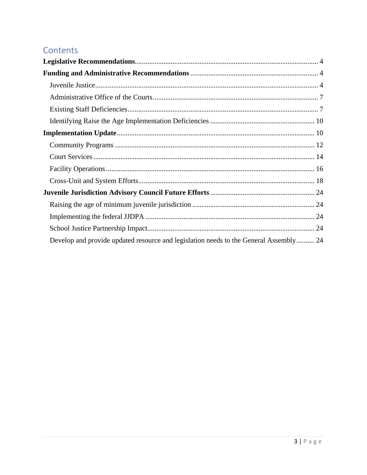## Contents

| Develop and provide updated resource and legislation needs to the General Assembly 24 |  |
|---------------------------------------------------------------------------------------|--|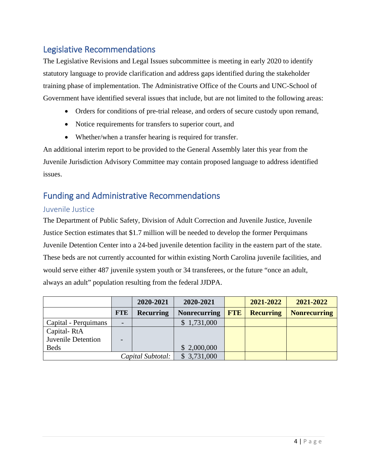### <span id="page-4-0"></span>Legislative Recommendations

The Legislative Revisions and Legal Issues subcommittee is meeting in early 2020 to identify statutory language to provide clarification and address gaps identified during the stakeholder training phase of implementation. The Administrative Office of the Courts and UNC-School of Government have identified several issues that include, but are not limited to the following areas:

- Orders for conditions of pre-trial release, and orders of secure custody upon remand,
- Notice requirements for transfers to superior court, and
- Whether/when a transfer hearing is required for transfer.

An additional interim report to be provided to the General Assembly later this year from the Juvenile Jurisdiction Advisory Committee may contain proposed language to address identified issues.

## <span id="page-4-1"></span>Funding and Administrative Recommendations

#### <span id="page-4-2"></span>Juvenile Justice

The Department of Public Safety, Division of Adult Correction and Juvenile Justice, Juvenile Justice Section estimates that \$1.7 million will be needed to develop the former Perquimans Juvenile Detention Center into a 24-bed juvenile detention facility in the eastern part of the state. These beds are not currently accounted for within existing North Carolina juvenile facilities, and would serve either 487 juvenile system youth or 34 transferees, or the future "once an adult, always an adult" population resulting from the federal JJDPA.

|                      |                          | 2020-2021         | 2020-2021           |            | 2021-2022        | 2021-2022           |
|----------------------|--------------------------|-------------------|---------------------|------------|------------------|---------------------|
|                      | <b>FTE</b>               | <b>Recurring</b>  | <b>Nonrecurring</b> | <b>FTE</b> | <b>Recurring</b> | <b>Nonrecurring</b> |
| Capital - Perquimans | $\overline{\phantom{0}}$ |                   | \$1,731,000         |            |                  |                     |
| Capital-RtA          |                          |                   |                     |            |                  |                     |
| Juvenile Detention   |                          |                   |                     |            |                  |                     |
| <b>Beds</b>          |                          |                   | \$2,000,000         |            |                  |                     |
|                      |                          | Capital Subtotal: | \$3,731,000         |            |                  |                     |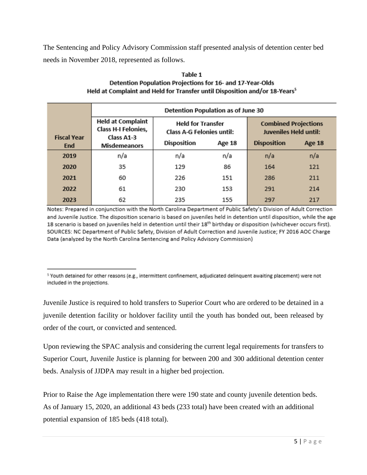The Sentencing and Policy Advisory Commission staff presented analysis of detention center bed needs in November 2018, represented as follows.

|                    | <b>Detention Population as of June 30</b>                            |                                                              |        |                                                             |        |  |  |
|--------------------|----------------------------------------------------------------------|--------------------------------------------------------------|--------|-------------------------------------------------------------|--------|--|--|
| <b>Fiscal Year</b> | <b>Held at Complaint</b><br><b>Class H-I Felonies,</b><br>Class A1-3 | <b>Held for Transfer</b><br><b>Class A-G Felonies until:</b> |        | <b>Combined Projections</b><br><b>Juveniles Held until:</b> |        |  |  |
| End                | <b>Misdemeanors</b>                                                  | <b>Disposition</b>                                           | Age 18 | <b>Disposition</b>                                          | Age 18 |  |  |
| 2019               | n/a                                                                  | n/a                                                          | n/a    | n/a                                                         | n/a    |  |  |
| 2020               | 35                                                                   | 129                                                          | 86     | 164                                                         | 121    |  |  |
| 2021               | 60                                                                   | 226                                                          | 151    | 286                                                         | 211    |  |  |
| 2022               | 61                                                                   | 230                                                          | 153    | 291                                                         | 214    |  |  |
| 2023               | 62                                                                   | 235                                                          | 155    | 297                                                         | 217    |  |  |

#### Table 1 Detention Population Projections for 16- and 17-Year-Olds Held at Complaint and Held for Transfer until Disposition and/or 18-Years<sup>5</sup>

Notes: Prepared in conjunction with the North Carolina Department of Public Safety's Division of Adult Correction and Juvenile Justice. The disposition scenario is based on juveniles held in detention until disposition, while the age 18 scenario is based on juveniles held in detention until their 18<sup>th</sup> birthday or disposition (whichever occurs first). SOURCES: NC Department of Public Safety, Division of Adult Correction and Juvenile Justice; FY 2016 AOC Charge Data (analyzed by the North Carolina Sentencing and Policy Advisory Commission)

<sup>5</sup> Youth detained for other reasons (e.g., intermittent confinement, adjudicated delinquent awaiting placement) were not included in the projections.

Juvenile Justice is required to hold transfers to Superior Court who are ordered to be detained in a juvenile detention facility or holdover facility until the youth has bonded out, been released by order of the court, or convicted and sentenced.

Upon reviewing the SPAC analysis and considering the current legal requirements for transfers to Superior Court, Juvenile Justice is planning for between 200 and 300 additional detention center beds. Analysis of JJDPA may result in a higher bed projection.

Prior to Raise the Age implementation there were 190 state and county juvenile detention beds. As of January 15, 2020, an additional 43 beds (233 total) have been created with an additional potential expansion of 185 beds (418 total).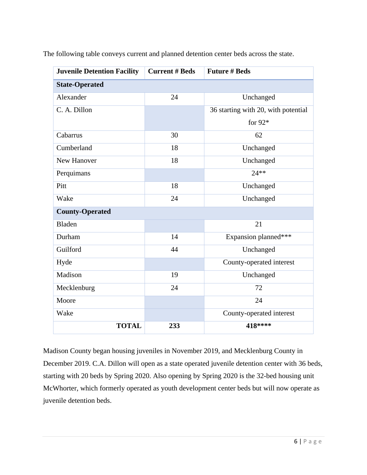| <b>Juvenile Detention Facility</b> | <b>Current # Beds</b> | <b>Future # Beds</b>                |
|------------------------------------|-----------------------|-------------------------------------|
| <b>State-Operated</b>              |                       |                                     |
| Alexander                          | 24                    | Unchanged                           |
| C. A. Dillon                       |                       | 36 starting with 20, with potential |
|                                    |                       | for $92*$                           |
| Cabarrus                           | 30                    | 62                                  |
| Cumberland                         | 18                    | Unchanged                           |
| New Hanover                        | 18                    | Unchanged                           |
| Perquimans                         |                       | $24**$                              |
| Pitt                               | 18                    | Unchanged                           |
| Wake                               | 24                    | Unchanged                           |
| <b>County-Operated</b>             |                       |                                     |
| <b>Bladen</b>                      |                       | 21                                  |
| Durham                             | 14                    | Expansion planned***                |
| Guilford                           | 44                    | Unchanged                           |
| Hyde                               |                       | County-operated interest            |
| Madison                            | 19                    | Unchanged                           |
| Mecklenburg                        | 24                    | 72                                  |
| Moore                              |                       | 24                                  |
| Wake                               |                       | County-operated interest            |
| <b>TOTAL</b>                       | 233                   | 418****                             |

The following table conveys current and planned detention center beds across the state.

Madison County began housing juveniles in November 2019, and Mecklenburg County in December 2019. C.A. Dillon will open as a state operated juvenile detention center with 36 beds, starting with 20 beds by Spring 2020. Also opening by Spring 2020 is the 32-bed housing unit McWhorter, which formerly operated as youth development center beds but will now operate as juvenile detention beds.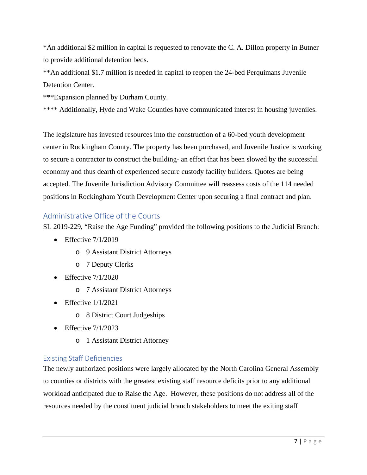\*An additional \$2 million in capital is requested to renovate the C. A. Dillon property in Butner to provide additional detention beds.

\*\*An additional \$1.7 million is needed in capital to reopen the 24-bed Perquimans Juvenile Detention Center.

\*\*\*Expansion planned by Durham County.

\*\*\*\* Additionally, Hyde and Wake Counties have communicated interest in housing juveniles.

The legislature has invested resources into the construction of a 60-bed youth development center in Rockingham County. The property has been purchased, and Juvenile Justice is working to secure a contractor to construct the building- an effort that has been slowed by the successful economy and thus dearth of experienced secure custody facility builders. Quotes are being accepted. The Juvenile Jurisdiction Advisory Committee will reassess costs of the 114 needed positions in Rockingham Youth Development Center upon securing a final contract and plan.

#### <span id="page-7-0"></span>Administrative Office of the Courts

SL 2019-229, "Raise the Age Funding" provided the following positions to the Judicial Branch:

- Effective  $7/1/2019$ 
	- o 9 Assistant District Attorneys
	- o 7 Deputy Clerks
- Effective  $7/1/2020$ 
	- o 7 Assistant District Attorneys
- Effective  $1/1/2021$ 
	- o 8 District Court Judgeships
- Effective  $7/1/2023$ 
	- o 1 Assistant District Attorney

#### <span id="page-7-1"></span>Existing Staff Deficiencies

The newly authorized positions were largely allocated by the North Carolina General Assembly to counties or districts with the greatest existing staff resource deficits prior to any additional workload anticipated due to Raise the Age. However, these positions do not address all of the resources needed by the constituent judicial branch stakeholders to meet the exiting staff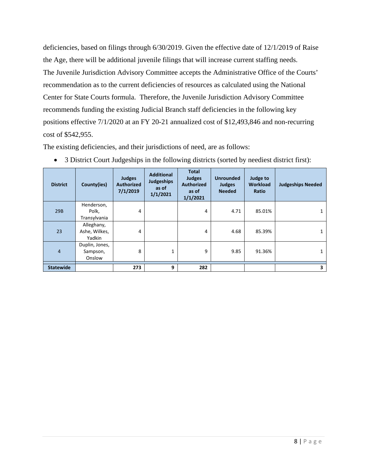deficiencies, based on filings through 6/30/2019. Given the effective date of 12/1/2019 of Raise the Age, there will be additional juvenile filings that will increase current staffing needs. The Juvenile Jurisdiction Advisory Committee accepts the Administrative Office of the Courts' recommendation as to the current deficiencies of resources as calculated using the National Center for State Courts formula. Therefore, the Juvenile Jurisdiction Advisory Committee recommends funding the existing Judicial Branch staff deficiencies in the following key positions effective 7/1/2020 at an FY 20-21 annualized cost of \$12,493,846 and non-recurring cost of \$542,955.

The existing deficiencies, and their jurisdictions of need, are as follows:

| <b>District</b>  | County(ies)                           | <b>Judges</b><br><b>Authorized</b><br>7/1/2019 | <b>Additional</b><br><b>Judgeships</b><br>as of<br>1/1/2021 | <b>Total</b><br><b>Judges</b><br><b>Authorized</b><br>as of<br>1/1/2021 | <b>Unrounded</b><br><b>Judges</b><br><b>Needed</b> | Judge to<br><b>Workload</b><br>Ratio | <b>Judgeships Needed</b> |
|------------------|---------------------------------------|------------------------------------------------|-------------------------------------------------------------|-------------------------------------------------------------------------|----------------------------------------------------|--------------------------------------|--------------------------|
| 29B              | Henderson,<br>Polk,<br>Transylvania   | 4                                              |                                                             | 4                                                                       | 4.71                                               | 85.01%                               |                          |
| 23               | Alleghany,<br>Ashe, Wilkes,<br>Yadkin | 4                                              |                                                             | 4                                                                       | 4.68                                               | 85.39%                               |                          |
| $\overline{4}$   | Duplin, Jones,<br>Sampson,<br>Onslow  | 8                                              | 1                                                           | 9                                                                       | 9.85                                               | 91.36%                               |                          |
| <b>Statewide</b> |                                       | 273                                            | 9                                                           | 282                                                                     |                                                    |                                      | 3                        |

• 3 District Court Judgeships in the following districts (sorted by neediest district first):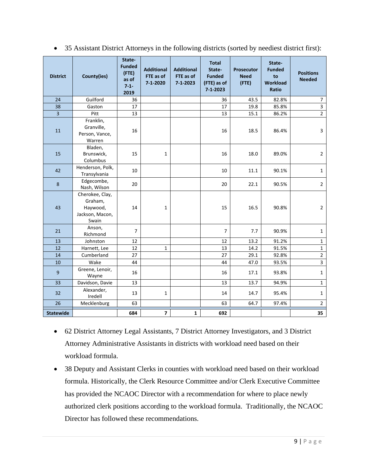| <b>District</b>  | County(ies)                                                        | State-<br><b>Funded</b><br>(FTE)<br>as of<br>$7 - 1 -$<br>2019 | <b>Additional</b><br>FTE as of<br>7-1-2020 | <b>Additional</b><br>FTE as of<br>$7 - 1 - 2023$ | <b>Total</b><br>State-<br><b>Funded</b><br>(FTE) as of<br>$7 - 1 - 2023$ | Prosecutor<br><b>Need</b><br>$($ FTE $)$ | State-<br><b>Funded</b><br>to<br><b>Workload</b><br><b>Ratio</b> | <b>Positions</b><br><b>Needed</b> |
|------------------|--------------------------------------------------------------------|----------------------------------------------------------------|--------------------------------------------|--------------------------------------------------|--------------------------------------------------------------------------|------------------------------------------|------------------------------------------------------------------|-----------------------------------|
| 24               | Guilford                                                           | 36                                                             |                                            |                                                  | 36                                                                       | 43.5                                     | 82.8%                                                            | $\boldsymbol{7}$                  |
| 38               | Gaston                                                             | 17                                                             |                                            |                                                  | 17                                                                       | 19.8                                     | 85.8%                                                            | 3                                 |
| $\overline{3}$   | Pitt                                                               | 13                                                             |                                            |                                                  | 13                                                                       | 15.1                                     | 86.2%                                                            | $\overline{2}$                    |
| 11               | Franklin,<br>Granville,<br>Person, Vance,<br>Warren                | 16                                                             |                                            |                                                  | 16                                                                       | 18.5                                     | 86.4%                                                            | 3                                 |
| 15               | Bladen,<br>Brunswick,<br>Columbus                                  | 15                                                             | $\mathbf{1}$                               |                                                  | 16                                                                       | 18.0                                     | 89.0%                                                            | $\overline{2}$                    |
| 42               | Henderson, Polk,<br>Transylvania                                   | 10                                                             |                                            |                                                  | 10                                                                       | 11.1                                     | 90.1%                                                            | $\mathbf{1}$                      |
| $\bf 8$          | Edgecombe,<br>Nash, Wilson                                         | 20                                                             |                                            |                                                  | 20                                                                       | 22.1                                     | 90.5%                                                            | $\overline{2}$                    |
| 43               | Cherokee, Clay,<br>Graham,<br>Haywood,<br>Jackson, Macon,<br>Swain | 14                                                             | 1                                          |                                                  | 15                                                                       | 16.5                                     | 90.8%                                                            | $\overline{2}$                    |
| 21               | Anson,<br>Richmond                                                 | $\overline{7}$                                                 |                                            |                                                  | $\overline{7}$                                                           | 7.7                                      | 90.9%                                                            | $\mathbf 1$                       |
| 13               | Johnston                                                           | 12                                                             |                                            |                                                  | 12                                                                       | 13.2                                     | 91.2%                                                            | $\mathbf 1$                       |
| 12               | Harnett, Lee                                                       | 12                                                             | $\mathbf{1}$                               |                                                  | 13                                                                       | 14.2                                     | 91.5%                                                            | $\mathbf 1$                       |
| 14               | Cumberland                                                         | 27                                                             |                                            |                                                  | 27                                                                       | 29.1                                     | 92.8%                                                            | $\overline{2}$                    |
| 10               | Wake                                                               | 44                                                             |                                            |                                                  | 44                                                                       | 47.0                                     | 93.5%                                                            | 3                                 |
| $\overline{9}$   | Greene, Lenoir,<br>Wayne                                           | 16                                                             |                                            |                                                  | 16                                                                       | 17.1                                     | 93.8%                                                            | $\mathbf 1$                       |
| 33               | Davidson, Davie                                                    | 13                                                             |                                            |                                                  | 13                                                                       | 13.7                                     | 94.9%                                                            | $\mathbf{1}$                      |
| 32               | Alexander,<br>Iredell                                              | 13                                                             | 1                                          |                                                  | 14                                                                       | 14.7                                     | 95.4%                                                            | $\mathbf{1}$                      |
| 26               | Mecklenburg                                                        | 63                                                             |                                            |                                                  | 63                                                                       | 64.7                                     | 97.4%                                                            | $\overline{2}$                    |
| <b>Statewide</b> |                                                                    | 684                                                            | $\overline{\mathbf{z}}$                    | 1                                                | 692                                                                      |                                          |                                                                  | 35                                |

• 35 Assistant District Attorneys in the following districts (sorted by neediest district first):

- 62 District Attorney Legal Assistants, 7 District Attorney Investigators, and 3 District Attorney Administrative Assistants in districts with workload need based on their workload formula.
- 38 Deputy and Assistant Clerks in counties with workload need based on their workload formula. Historically, the Clerk Resource Committee and/or Clerk Executive Committee has provided the NCAOC Director with a recommendation for where to place newly authorized clerk positions according to the workload formula. Traditionally, the NCAOC Director has followed these recommendations.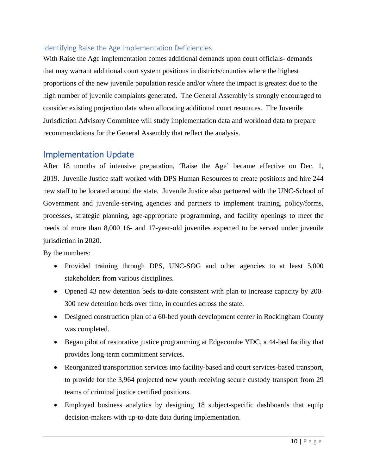#### <span id="page-10-0"></span>Identifying Raise the Age Implementation Deficiencies

<span id="page-10-1"></span>With Raise the Age implementation comes additional demands upon court officials- demands that may warrant additional court system positions in districts/counties where the highest proportions of the new juvenile population reside and/or where the impact is greatest due to the high number of juvenile complaints generated. The General Assembly is strongly encouraged to consider existing projection data when allocating additional court resources. The Juvenile Jurisdiction Advisory Committee will study implementation data and workload data to prepare recommendations for the General Assembly that reflect the analysis.

#### Implementation Update

After 18 months of intensive preparation, 'Raise the Age' became effective on Dec. 1, 2019. Juvenile Justice staff worked with DPS Human Resources to create positions and hire 244 new staff to be located around the state. Juvenile Justice also partnered with the UNC-School of Government and juvenile-serving agencies and partners to implement training, policy/forms, processes, strategic planning, age-appropriate programming, and facility openings to meet the needs of more than 8,000 16- and 17-year-old juveniles expected to be served under juvenile jurisdiction in 2020.

By the numbers:

- Provided training through DPS, UNC-SOG and other agencies to at least 5,000 stakeholders from various disciplines.
- Opened 43 new detention beds to-date consistent with plan to increase capacity by 200- 300 new detention beds over time, in counties across the state.
- Designed construction plan of a 60-bed youth development center in Rockingham County was completed.
- Began pilot of restorative justice programming at Edgecombe YDC, a 44-bed facility that provides long-term commitment services.
- Reorganized transportation services into facility-based and court services-based transport, to provide for the 3,964 projected new youth receiving secure custody transport from 29 teams of criminal justice certified positions.
- Employed business analytics by designing 18 subject-specific dashboards that equip decision-makers with up-to-date data during implementation.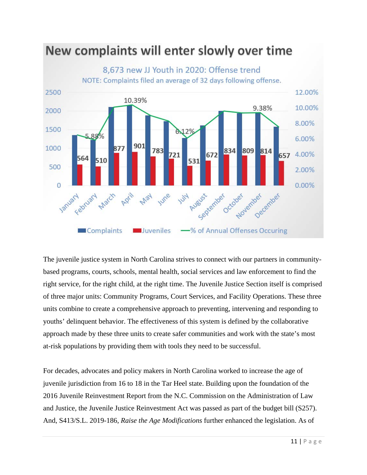

New complaints will enter slowly over time

The juvenile justice system in North Carolina strives to connect with our partners in communitybased programs, courts, schools, mental health, social services and law enforcement to find the right service, for the right child, at the right time. The Juvenile Justice Section itself is comprised of three major units: Community Programs, Court Services, and Facility Operations. These three units combine to create a comprehensive approach to preventing, intervening and responding to youths' delinquent behavior. The effectiveness of this system is defined by the collaborative approach made by these three units to create safer communities and work with the state's most at-risk populations by providing them with tools they need to be successful.

For decades, advocates and policy makers in North Carolina worked to increase the age of juvenile jurisdiction from 16 to 18 in the Tar Heel state. Building upon the foundation of the 2016 Juvenile Reinvestment Report from the N.C. Commission on the Administration of Law and Justice, the Juvenile Justice Reinvestment Act was passed as part of the budget bill (S257). And, S413/S.L. 2019-186, *Raise the Age Modifications* further enhanced the legislation. As of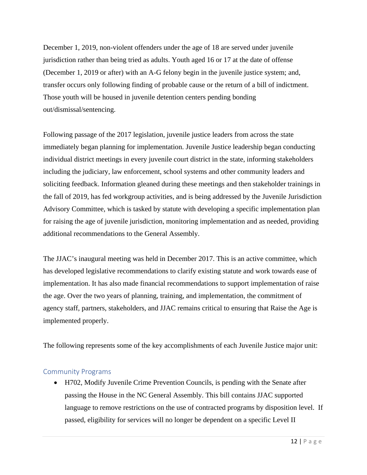December 1, 2019, non-violent offenders under the age of 18 are served under juvenile jurisdiction rather than being tried as adults. Youth aged 16 or 17 at the date of offense (December 1, 2019 or after) with an A-G felony begin in the juvenile justice system; and, transfer occurs only following finding of probable cause or the return of a bill of indictment. Those youth will be housed in juvenile detention centers pending bonding out/dismissal/sentencing.

Following passage of the 2017 legislation, juvenile justice leaders from across the state immediately began planning for implementation. Juvenile Justice leadership began conducting individual district meetings in every juvenile court district in the state, informing stakeholders including the judiciary, law enforcement, school systems and other community leaders and soliciting feedback. Information gleaned during these meetings and then stakeholder trainings in the fall of 2019, has fed workgroup activities, and is being addressed by the Juvenile Jurisdiction Advisory Committee, which is tasked by statute with developing a specific implementation plan for raising the age of juvenile jurisdiction, monitoring implementation and as needed, providing additional recommendations to the General Assembly.

The JJAC's inaugural meeting was held in December 2017. This is an active committee, which has developed legislative recommendations to clarify existing statute and work towards ease of implementation. It has also made financial recommendations to support implementation of raise the age. Over the two years of planning, training, and implementation, the commitment of agency staff, partners, stakeholders, and JJAC remains critical to ensuring that Raise the Age is implemented properly.

The following represents some of the key accomplishments of each Juvenile Justice major unit:

#### <span id="page-12-0"></span>Community Programs

• H702, Modify Juvenile Crime Prevention Councils, is pending with the Senate after passing the House in the NC General Assembly. This bill contains JJAC supported language to remove restrictions on the use of contracted programs by disposition level. If passed, eligibility for services will no longer be dependent on a specific Level II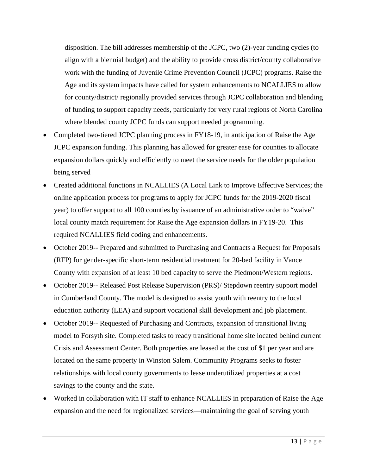disposition. The bill addresses membership of the JCPC, two (2)-year funding cycles (to align with a biennial budget) and the ability to provide cross district/county collaborative work with the funding of Juvenile Crime Prevention Council (JCPC) programs. Raise the Age and its system impacts have called for system enhancements to NCALLIES to allow for county/district/ regionally provided services through JCPC collaboration and blending of funding to support capacity needs, particularly for very rural regions of North Carolina where blended county JCPC funds can support needed programming.

- Completed two-tiered JCPC planning process in FY18-19, in anticipation of Raise the Age JCPC expansion funding. This planning has allowed for greater ease for counties to allocate expansion dollars quickly and efficiently to meet the service needs for the older population being served
- Created additional functions in NCALLIES (A Local Link to Improve Effective Services; the online application process for programs to apply for JCPC funds for the 2019-2020 fiscal year) to offer support to all 100 counties by issuance of an administrative order to "waive" local county match requirement for Raise the Age expansion dollars in FY19-20. This required NCALLIES field coding and enhancements.
- October 2019-- Prepared and submitted to Purchasing and Contracts a Request for Proposals (RFP) for gender-specific short-term residential treatment for 20-bed facility in Vance County with expansion of at least 10 bed capacity to serve the Piedmont/Western regions.
- October 2019-- Released Post Release Supervision (PRS)/ Stepdown reentry support model in Cumberland County. The model is designed to assist youth with reentry to the local education authority (LEA) and support vocational skill development and job placement.
- October 2019-- Requested of Purchasing and Contracts, expansion of transitional living model to Forsyth site. Completed tasks to ready transitional home site located behind current Crisis and Assessment Center. Both properties are leased at the cost of \$1 per year and are located on the same property in Winston Salem. Community Programs seeks to foster relationships with local county governments to lease underutilized properties at a cost savings to the county and the state.
- Worked in collaboration with IT staff to enhance NCALLIES in preparation of Raise the Age expansion and the need for regionalized services—maintaining the goal of serving youth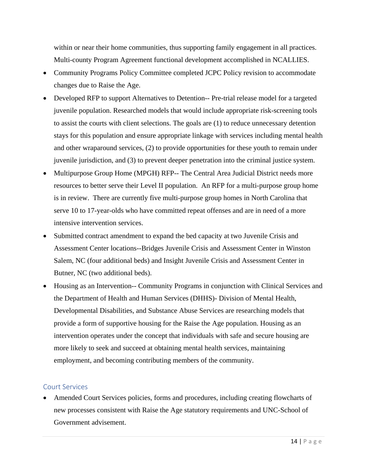within or near their home communities, thus supporting family engagement in all practices. Multi-county Program Agreement functional development accomplished in NCALLIES.

- Community Programs Policy Committee completed JCPC Policy revision to accommodate changes due to Raise the Age.
- Developed RFP to support Alternatives to Detention-- Pre-trial release model for a targeted juvenile population. Researched models that would include appropriate risk-screening tools to assist the courts with client selections. The goals are (1) to reduce unnecessary detention stays for this population and ensure appropriate linkage with services including mental health and other wraparound services, (2) to provide opportunities for these youth to remain under juvenile jurisdiction, and (3) to prevent deeper penetration into the criminal justice system.
- Multipurpose Group Home (MPGH) RFP-- The Central Area Judicial District needs more resources to better serve their Level II population. An RFP for a multi-purpose group home is in review. There are currently five multi-purpose group homes in North Carolina that serve 10 to 17-year-olds who have committed repeat offenses and are in need of a more intensive intervention services.
- Submitted contract amendment to expand the bed capacity at two Juvenile Crisis and Assessment Center locations--Bridges Juvenile Crisis and Assessment Center in Winston Salem, NC (four additional beds) and Insight Juvenile Crisis and Assessment Center in Butner, NC (two additional beds).
- Housing as an Intervention-- Community Programs in conjunction with Clinical Services and the Department of Health and Human Services (DHHS)- Division of Mental Health, Developmental Disabilities, and Substance Abuse Services are researching models that provide a form of supportive housing for the Raise the Age population. Housing as an intervention operates under the concept that individuals with safe and secure housing are more likely to seek and succeed at obtaining mental health services, maintaining employment, and becoming contributing members of the community.

#### <span id="page-14-0"></span>Court Services

• Amended Court Services policies, forms and procedures, including creating flowcharts of new processes consistent with Raise the Age statutory requirements and UNC-School of Government advisement.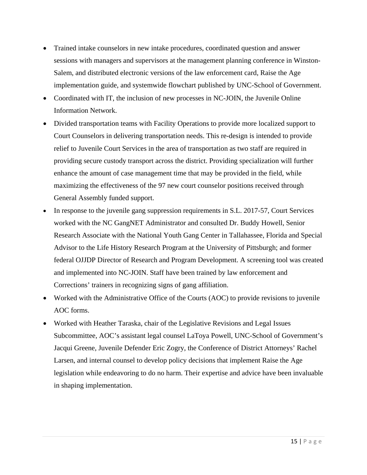- Trained intake counselors in new intake procedures, coordinated question and answer sessions with managers and supervisors at the management planning conference in Winston-Salem, and distributed electronic versions of the law enforcement card, Raise the Age implementation guide, and systemwide flowchart published by UNC-School of Government.
- Coordinated with IT, the inclusion of new processes in NC-JOIN, the Juvenile Online Information Network.
- Divided transportation teams with Facility Operations to provide more localized support to Court Counselors in delivering transportation needs. This re-design is intended to provide relief to Juvenile Court Services in the area of transportation as two staff are required in providing secure custody transport across the district. Providing specialization will further enhance the amount of case management time that may be provided in the field, while maximizing the effectiveness of the 97 new court counselor positions received through General Assembly funded support.
- In response to the juvenile gang suppression requirements in S.L. 2017-57, Court Services worked with the NC GangNET Administrator and consulted Dr. Buddy Howell, Senior Research Associate with the National Youth Gang Center in Tallahassee, Florida and Special Advisor to the Life History Research Program at the University of Pittsburgh; and former federal OJJDP Director of Research and Program Development. A screening tool was created and implemented into NC-JOIN. Staff have been trained by law enforcement and Corrections' trainers in recognizing signs of gang affiliation.
- Worked with the Administrative Office of the Courts (AOC) to provide revisions to juvenile AOC forms.
- Worked with Heather Taraska, chair of the Legislative Revisions and Legal Issues Subcommittee, AOC's assistant legal counsel LaToya Powell, UNC-School of Government's Jacqui Greene, Juvenile Defender Eric Zogry, the Conference of District Attorneys' Rachel Larsen, and internal counsel to develop policy decisions that implement Raise the Age legislation while endeavoring to do no harm. Their expertise and advice have been invaluable in shaping implementation.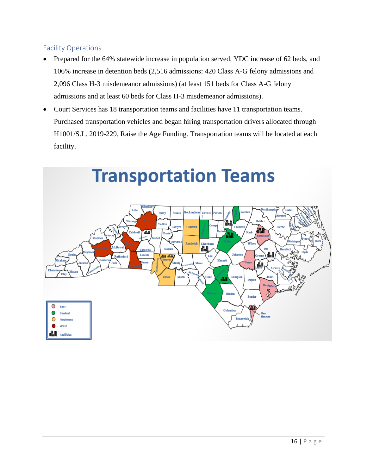#### <span id="page-16-0"></span>Facility Operations

- Prepared for the 64% statewide increase in population served, YDC increase of 62 beds, and 106% increase in detention beds (2,516 admissions: 420 Class A-G felony admissions and 2,096 Class H-3 misdemeanor admissions) (at least 151 beds for Class A-G felony admissions and at least 60 beds for Class H-3 misdemeanor admissions).
- Court Services has 18 transportation teams and facilities have 11 transportation teams. Purchased transportation vehicles and began hiring transportation drivers allocated through H1001/S.L. 2019-229, Raise the Age Funding. Transportation teams will be located at each facility.

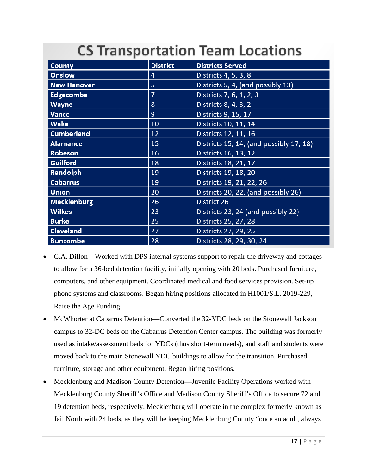## **CS Transportation Team Locations**

| <b>County</b>      | <b>District</b> | <b>Districts Served</b>                 |
|--------------------|-----------------|-----------------------------------------|
| <b>Onslow</b>      | 4               | Districts 4, 5, 3, 8                    |
| <b>New Hanover</b> | 5               | Districts 5, 4, (and possibly 13)       |
| <b>Edgecombe</b>   | $\overline{7}$  | Districts 7, 6, 1, 2, 3                 |
| <b>Wayne</b>       | 8               | Districts 8, 4, 3, 2                    |
| <b>Vance</b>       | 9               | Districts 9, 15, 17                     |
| <b>Wake</b>        | 10              | Districts 10, 11, 14                    |
| <b>Cumberland</b>  | 12              | Districts 12, 11, 16                    |
| <b>Alamance</b>    | 15              | Districts 15, 14, (and possibly 17, 18) |
| Robeson            | 16              | Districts 16, 13, 12                    |
| <b>Guilford</b>    | 18              | Districts 18, 21, 17                    |
| Randolph           | 19              | Districts 19, 18, 20                    |
| <b>Cabarrus</b>    | 19              | Districts 19, 21, 22, 26                |
| <b>Union</b>       | 20              | Districts 20, 22, (and possibly 26)     |
| <b>Mecklenburg</b> | 26              | <b>District 26</b>                      |
| <b>Wilkes</b>      | 23              | Districts 23, 24 (and possibly 22)      |
| <b>Burke</b>       | 25              | Districts 25, 27, 28                    |
| <b>Cleveland</b>   | 27              | Districts 27, 29, 25                    |
| <b>Buncombe</b>    | 28              | Districts 28, 29, 30, 24                |

- C.A. Dillon Worked with DPS internal systems support to repair the driveway and cottages to allow for a 36-bed detention facility, initially opening with 20 beds. Purchased furniture, computers, and other equipment. Coordinated medical and food services provision. Set-up phone systems and classrooms. Began hiring positions allocated in H1001/S.L. 2019-229, Raise the Age Funding.
- McWhorter at Cabarrus Detention—Converted the 32-YDC beds on the Stonewall Jackson campus to 32-DC beds on the Cabarrus Detention Center campus. The building was formerly used as intake/assessment beds for YDCs (thus short-term needs), and staff and students were moved back to the main Stonewall YDC buildings to allow for the transition. Purchased furniture, storage and other equipment. Began hiring positions.
- Mecklenburg and Madison County Detention—Juvenile Facility Operations worked with Mecklenburg County Sheriff's Office and Madison County Sheriff's Office to secure 72 and 19 detention beds, respectively. Mecklenburg will operate in the complex formerly known as Jail North with 24 beds, as they will be keeping Mecklenburg County "once an adult, always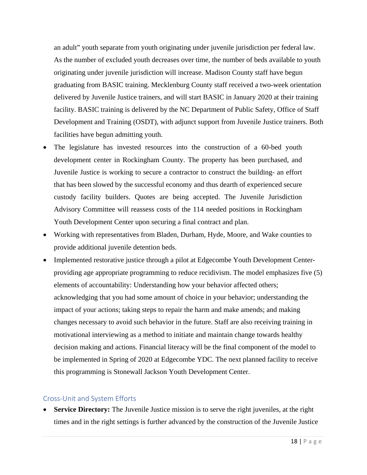an adult" youth separate from youth originating under juvenile jurisdiction per federal law. As the number of excluded youth decreases over time, the number of beds available to youth originating under juvenile jurisdiction will increase. Madison County staff have begun graduating from BASIC training. Mecklenburg County staff received a two-week orientation delivered by Juvenile Justice trainers, and will start BASIC in January 2020 at their training facility. BASIC training is delivered by the NC Department of Public Safety, Office of Staff Development and Training (OSDT), with adjunct support from Juvenile Justice trainers. Both facilities have begun admitting youth.

- The legislature has invested resources into the construction of a 60-bed youth development center in Rockingham County. The property has been purchased, and Juvenile Justice is working to secure a contractor to construct the building- an effort that has been slowed by the successful economy and thus dearth of experienced secure custody facility builders. Quotes are being accepted. The Juvenile Jurisdiction Advisory Committee will reassess costs of the 114 needed positions in Rockingham Youth Development Center upon securing a final contract and plan.
- Working with representatives from Bladen, Durham, Hyde, Moore, and Wake counties to provide additional juvenile detention beds.
- Implemented restorative justice through a pilot at Edgecombe Youth Development Centerproviding age appropriate programming to reduce recidivism. The model emphasizes five (5) elements of accountability: Understanding how your behavior affected others; acknowledging that you had some amount of choice in your behavior; understanding the impact of your actions; taking steps to repair the harm and make amends; and making changes necessary to avoid such behavior in the future. Staff are also receiving training in motivational interviewing as a method to initiate and maintain change towards healthy decision making and actions. Financial literacy will be the final component of the model to be implemented in Spring of 2020 at Edgecombe YDC. The next planned facility to receive this programming is Stonewall Jackson Youth Development Center.

#### <span id="page-18-0"></span>Cross-Unit and System Efforts

**Service Directory:** The Juvenile Justice mission is to serve the right juveniles, at the right times and in the right settings is further advanced by the construction of the Juvenile Justice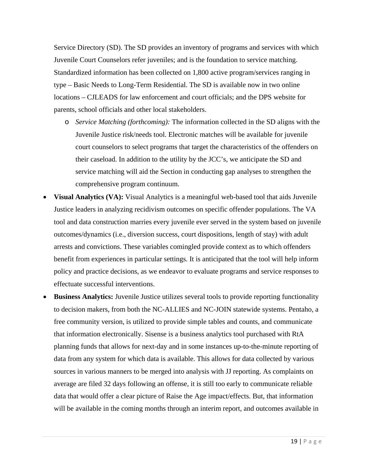Service Directory (SD). The SD provides an inventory of programs and services with which Juvenile Court Counselors refer juveniles; and is the foundation to service matching. Standardized information has been collected on 1,800 active program/services ranging in type – Basic Needs to Long-Term Residential. The SD is available now in two online locations – CJLEADS for law enforcement and court officials; and the DPS website for parents, school officials and other local stakeholders.

- o *Service Matching (forthcoming):* The information collected in the SD aligns with the Juvenile Justice risk/needs tool. Electronic matches will be available for juvenile court counselors to select programs that target the characteristics of the offenders on their caseload. In addition to the utility by the JCC's, we anticipate the SD and service matching will aid the Section in conducting gap analyses to strengthen the comprehensive program continuum.
- **Visual Analytics (VA):** Visual Analytics is a meaningful web-based tool that aids Juvenile Justice leaders in analyzing recidivism outcomes on specific offender populations. The VA tool and data construction marries every juvenile ever served in the system based on juvenile outcomes/dynamics (i.e., diversion success, court dispositions, length of stay) with adult arrests and convictions. These variables comingled provide context as to which offenders benefit from experiences in particular settings. It is anticipated that the tool will help inform policy and practice decisions, as we endeavor to evaluate programs and service responses to effectuate successful interventions.
- **Business Analytics:** Juvenile Justice utilizes several tools to provide reporting functionality to decision makers, from both the NC-ALLIES and NC-JOIN statewide systems. Pentaho, a free community version, is utilized to provide simple tables and counts, and communicate that information electronically. Sisense is a business analytics tool purchased with RtA planning funds that allows for next-day and in some instances up-to-the-minute reporting of data from any system for which data is available. This allows for data collected by various sources in various manners to be merged into analysis with JJ reporting. As complaints on average are filed 32 days following an offense, it is still too early to communicate reliable data that would offer a clear picture of Raise the Age impact/effects. But, that information will be available in the coming months through an interim report, and outcomes available in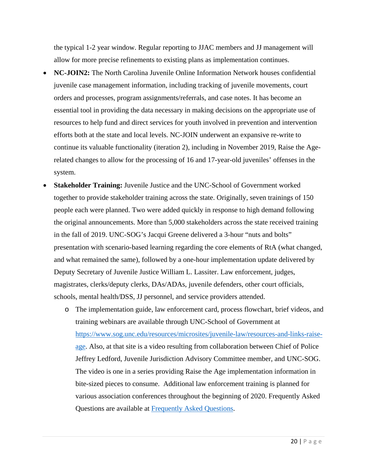the typical 1-2 year window. Regular reporting to JJAC members and JJ management will allow for more precise refinements to existing plans as implementation continues.

- **NC-JOIN2:** The North Carolina Juvenile Online Information Network houses confidential juvenile case management information, including tracking of juvenile movements, court orders and processes, program assignments/referrals, and case notes. It has become an essential tool in providing the data necessary in making decisions on the appropriate use of resources to help fund and direct services for youth involved in prevention and intervention efforts both at the state and local levels. NC-JOIN underwent an expansive re-write to continue its valuable functionality (iteration 2), including in November 2019, Raise the Agerelated changes to allow for the processing of 16 and 17-year-old juveniles' offenses in the system.
- **Stakeholder Training:** Juvenile Justice and the UNC-School of Government worked together to provide stakeholder training across the state. Originally, seven trainings of 150 people each were planned. Two were added quickly in response to high demand following the original announcements. More than 5,000 stakeholders across the state received training in the fall of 2019. UNC-SOG's Jacqui Greene delivered a 3-hour "nuts and bolts" presentation with scenario-based learning regarding the core elements of RtA (what changed, and what remained the same), followed by a one-hour implementation update delivered by Deputy Secretary of Juvenile Justice William L. Lassiter. Law enforcement, judges, magistrates, clerks/deputy clerks, DAs/ADAs, juvenile defenders, other court officials, schools, mental health/DSS, JJ personnel, and service providers attended.
	- o The implementation guide, law enforcement card, process flowchart, brief videos, and training webinars are available through UNC**-**School of Government at [https://www.sog.unc.edu/resources/microsites/juvenile-law/resources-and-links-raise](https://www.sog.unc.edu/resources/microsites/juvenile-law/resources-and-links-raise-age)[age.](https://www.sog.unc.edu/resources/microsites/juvenile-law/resources-and-links-raise-age) Also, at that site is a video resulting from collaboration between Chief of Police Jeffrey Ledford, Juvenile Jurisdiction Advisory Committee member, and UNC-SOG. The video is one in a series providing Raise the Age implementation information in bite-sized pieces to consume. Additional law enforcement training is planned for various association conferences throughout the beginning of 2020. Frequently Asked Questions are available at Frequently [Asked Questions.](https://nccriminallaw.sog.unc.edu/raise-the-age-faqs/)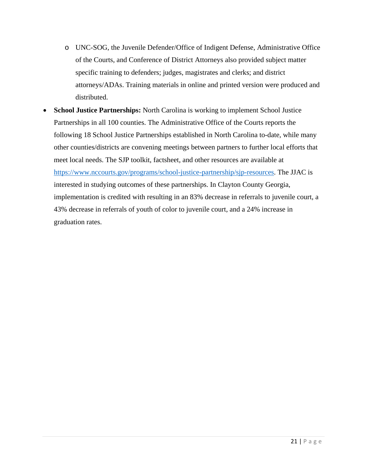- o UNC-SOG, the Juvenile Defender/Office of Indigent Defense, Administrative Office of the Courts, and Conference of District Attorneys also provided subject matter specific training to defenders; judges, magistrates and clerks; and district attorneys/ADAs. Training materials in online and printed version were produced and distributed.
- **School Justice Partnerships:** North Carolina is working to implement School Justice Partnerships in all 100 counties. The Administrative Office of the Courts reports the following 18 School Justice Partnerships established in North Carolina to-date, while many other counties/districts are convening meetings between partners to further local efforts that meet local needs. The SJP toolkit, factsheet, and other resources are available at [https://www.nccourts.gov/programs/school-justice-partnership/sjp-resources.](https://www.nccourts.gov/programs/school-justice-partnership/sjp-resources) The JJAC is interested in studying outcomes of these partnerships. In Clayton County Georgia, implementation is credited with resulting in an 83% decrease in referrals to juvenile court, a 43% decrease in referrals of youth of color to juvenile court, and a 24% increase in graduation rates.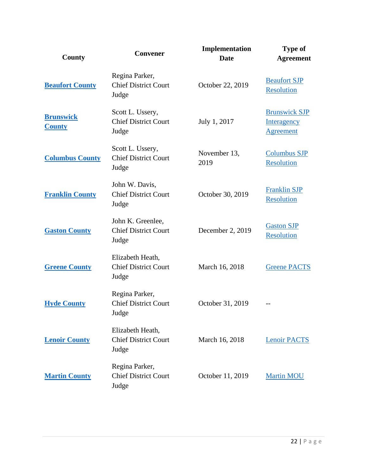| County                            | Convener                                                  | Implementation<br><b>Date</b> | <b>Type of</b><br><b>Agreement</b>                             |
|-----------------------------------|-----------------------------------------------------------|-------------------------------|----------------------------------------------------------------|
| <b>Beaufort County</b>            | Regina Parker,<br><b>Chief District Court</b><br>Judge    | October 22, 2019              | <b>Beaufort SJP</b><br><b>Resolution</b>                       |
| <b>Brunswick</b><br><b>County</b> | Scott L. Ussery,<br><b>Chief District Court</b><br>Judge  | July 1, 2017                  | <b>Brunswick SJP</b><br><b>Interagency</b><br><b>Agreement</b> |
| <b>Columbus County</b>            | Scott L. Ussery,<br><b>Chief District Court</b><br>Judge  | November 13,<br>2019          | <b>Columbus SJP</b><br><b>Resolution</b>                       |
| <b>Franklin County</b>            | John W. Davis,<br><b>Chief District Court</b><br>Judge    | October 30, 2019              | <b>Franklin SJP</b><br><b>Resolution</b>                       |
| <b>Gaston County</b>              | John K. Greenlee,<br><b>Chief District Court</b><br>Judge | December 2, 2019              | <b>Gaston SJP</b><br>Resolution                                |
| <b>Greene County</b>              | Elizabeth Heath,<br><b>Chief District Court</b><br>Judge  | March 16, 2018                | <b>Greene PACTS</b>                                            |
| <b>Hyde County</b>                | Regina Parker,<br><b>Chief District Court</b><br>Judge    | October 31, 2019              |                                                                |
| <b>Lenoir County</b>              | Elizabeth Heath,<br><b>Chief District Court</b><br>Judge  | March 16, 2018                | <b>Lenoir PACTS</b>                                            |
| <b>Martin County</b>              | Regina Parker,<br><b>Chief District Court</b><br>Judge    | October 11, 2019              | <b>Martin MOU</b>                                              |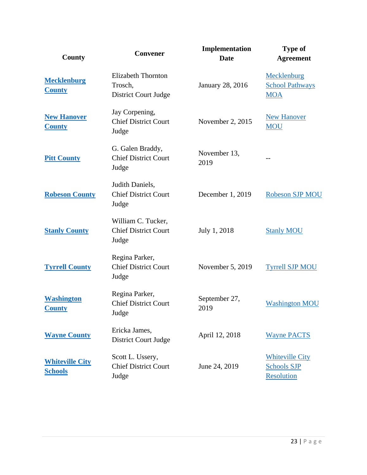| <b>County</b>                            | <b>Convener</b>                                              | Implementation<br><b>Date</b> | <b>Type of</b><br><b>Agreement</b>                                |
|------------------------------------------|--------------------------------------------------------------|-------------------------------|-------------------------------------------------------------------|
| <b>Mecklenburg</b><br><b>County</b>      | <b>Elizabeth Thornton</b><br>Trosch,<br>District Court Judge | <b>January 28, 2016</b>       | Mecklenburg<br><b>School Pathways</b><br><b>MOA</b>               |
| <b>New Hanover</b><br><b>County</b>      | Jay Corpening,<br><b>Chief District Court</b><br>Judge       | November 2, 2015              | <b>New Hanover</b><br><b>MOU</b>                                  |
| <b>Pitt County</b>                       | G. Galen Braddy,<br><b>Chief District Court</b><br>Judge     | November 13,<br>2019          |                                                                   |
| <b>Robeson County</b>                    | Judith Daniels,<br><b>Chief District Court</b><br>Judge      | December 1, 2019              | <b>Robeson SJP MOU</b>                                            |
| <b>Stanly County</b>                     | William C. Tucker,<br><b>Chief District Court</b><br>Judge   | July 1, 2018                  | <b>Stanly MOU</b>                                                 |
| <b>Tyrrell County</b>                    | Regina Parker,<br><b>Chief District Court</b><br>Judge       | November 5, 2019              | <b>Tyrrell SJP MOU</b>                                            |
| <b>Washington</b><br><b>County</b>       | Regina Parker,<br><b>Chief District Court</b><br>Judge       | September 27,<br>2019         | <b>Washington MOU</b>                                             |
| <b>Wayne County</b>                      | Ericka James,<br>District Court Judge                        | April 12, 2018                | <b>Wayne PACTS</b>                                                |
| <b>Whiteville City</b><br><b>Schools</b> | Scott L. Ussery,<br><b>Chief District Court</b><br>Judge     | June 24, 2019                 | <b>Whiteville City</b><br><b>Schools SJP</b><br><b>Resolution</b> |